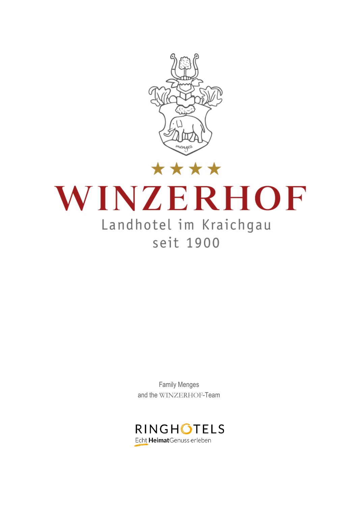

# WINZERHOF Landhotel im Kraichgau seit 1900

Family Menges and the WINZERHOF-Team

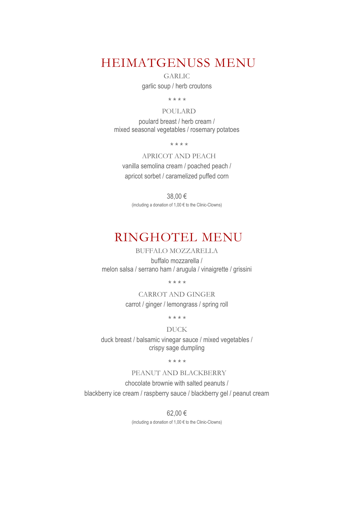### HEIMATGENUSS MENU

GARLIC

garlic soup / herb croutons

\*\*\*\*

POULARD

poulard breast / herb cream / mixed seasonal vegetables / rosemary potatoes

\*\*\*\*

APRICOT AND PEACH vanilla semolina cream / poached peach / apricot sorbet / caramelized puffed corn

38,00 € (including a donation of 1,00 € to the Clinic-Clowns)

# RINGHOTEL MENU

BUFFALO MOZZARELLA

buffalo mozzarella / melon salsa / serrano ham / arugula / vinaigrette / grissini

\*\*\*\*

CARROT AND GINGER carrot / ginger / lemongrass / spring roll

\*\*\*\*

#### DUCK

duck breast / balsamic vinegar sauce / mixed vegetables / crispy sage dumpling

 $***$ 

#### PEANUT AND BLACKBERRY

chocolate brownie with salted peanuts / blackberry ice cream / raspberry sauce / blackberry gel / peanut cream

> 62,00 € (including a donation of 1,00 € to the Clinic-Clowns)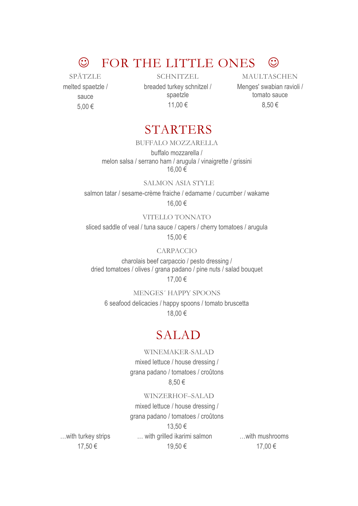# $\odot$  FOR THE LITTLE ONES  $\odot$

SPÄTZLE melted spaetzle / sauce 5,00 €

**SCHNITZEL** breaded turkey schnitzel / spaetzle 11,00 €

MAULTASCHEN Menges' swabian ravioli / tomato sauce 8,50 €

### STARTERS

#### BUFFALO MOZZARELLA

buffalo mozzarella / melon salsa / serrano ham / arugula / vinaigrette / grissini 16,00 €

#### SALMON ASIA STYLE

salmon tatar / sesame-crème fraiche / edamame / cucumber / wakame 16,00 €

#### VITELLO TONNATO

sliced saddle of veal / tuna sauce / capers / cherry tomatoes / arugula 15,00 €

#### CARPACCIO

charolais beef carpaccio / pesto dressing / dried tomatoes / olives / grana padano / pine nuts / salad bouquet 17,00 €

MENGES´ HAPPY SPOONS 6 seafood delicacies / happy spoons / tomato bruscetta 18,00 €

### SALAD

#### WINEMAKER-SALAD

mixed lettuce / house dressing / grana padano / tomatoes / croûtons 8,50 €

#### WINZERHOF–SALAD

mixed lettuce / house dressing / grana padano / tomatoes / croûtons 13,50 € … with grilled ikarimi salmon

19,50 €

…with mushrooms 17,00 €

…with turkey strips 17,50 €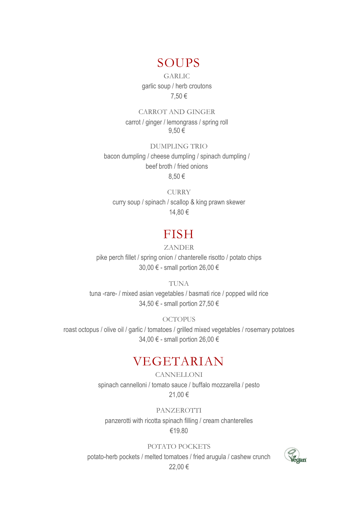### SOUPS

GARLIC garlic soup / herb croutons 7,50 €

CARROT AND GINGER carrot / ginger / lemongrass / spring roll 9,50 €

DUMPLING TRIO bacon dumpling / cheese dumpling / spinach dumpling / beef broth / fried onions 8,50 €

**CURRY** curry soup / spinach / scallop & king prawn skewer 14,80 €

### FISH

#### ZANDER

pike perch fillet / spring onion / chanterelle risotto / potato chips 30,00 € - small portion 26,00 €

TUNA

tuna -rare- / mixed asian vegetables / basmati rice / popped wild rice 34,50 € - small portion 27,50 €

#### **OCTOPUS**

roast octopus / olive oil / garlic / tomatoes / grilled mixed vegetables / rosemary potatoes 34,00 € - small portion 26,00 €

# VEGETARIAN

**CANNELLONI** spinach cannelloni / tomato sauce / buffalo mozzarella / pesto 21,00 €

PANZEROTTI panzerotti with ricotta spinach filling / cream chanterelles

#### €19.80

#### POTATO POCKETS

potato-herb pockets / melted tomatoes / fried arugula / cashew crunch 22,00 €

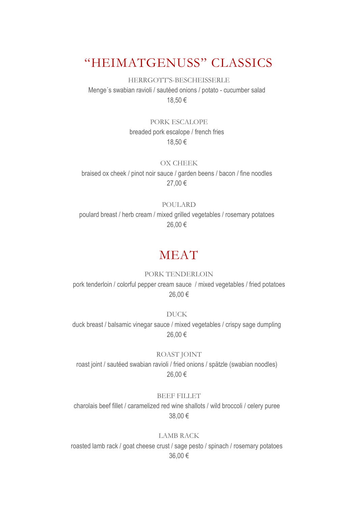## "HEIMATGENUSS" CLASSICS

HERRGOTT'S-BESCHEISSERLE Menge´s swabian ravioli / sautéed onions / potato - cucumber salad 18,50 €

> PORK ESCALOPE breaded pork escalope / french fries 18,50 €

> > OX CHEEK

braised ox cheek / pinot noir sauce / garden beens / bacon / fine noodles 27,00 €

#### POULARD

poulard breast / herb cream / mixed grilled vegetables / rosemary potatoes 26,00 €

### MEAT

#### PORK TENDERLOIN

pork tenderloin / colorful pepper cream sauce / mixed vegetables / fried potatoes 26,00 €

DUCK duck breast / balsamic vinegar sauce / mixed vegetables / crispy sage dumpling 26,00 €

#### ROAST JOINT

roast joint / sautéed swabian ravioli / fried onions / spätzle (swabian noodles) 26,00 €

#### BEEF FILLET

charolais beef fillet / caramelized red wine shallots / wild broccoli / celery puree 38,00 €

#### LAMB RACK

roasted lamb rack / goat cheese crust / sage pesto / spinach / rosemary potatoes 36,00 €